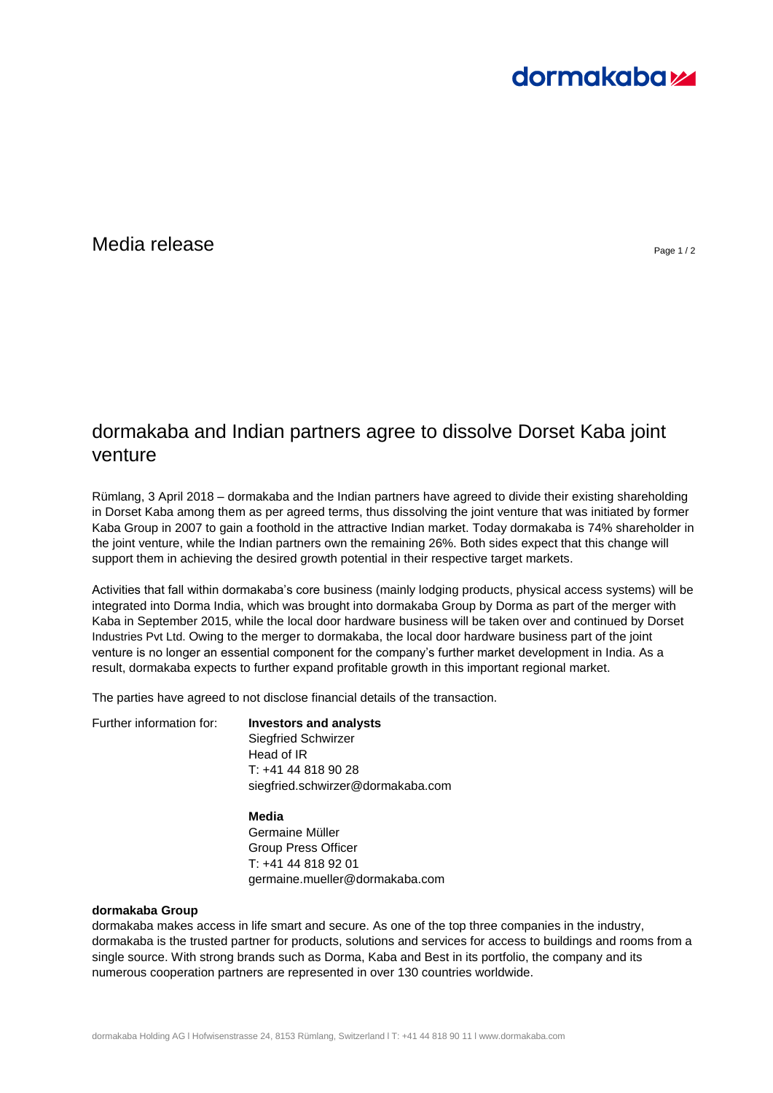# **dormakabazz**

### $\blacksquare$ Media release  $\blacksquare$

## dormakaba and Indian partners agree to dissolve Dorset Kaba joint venture

Rümlang, 3 April 2018 – dormakaba and the Indian partners have agreed to divide their existing shareholding in Dorset Kaba among them as per agreed terms, thus dissolving the joint venture that was initiated by former Kaba Group in 2007 to gain a foothold in the attractive Indian market. Today dormakaba is 74% shareholder in the joint venture, while the Indian partners own the remaining 26%. Both sides expect that this change will support them in achieving the desired growth potential in their respective target markets.

Activities that fall within dormakaba's core business (mainly lodging products, physical access systems) will be integrated into Dorma India, which was brought into dormakaba Group by Dorma as part of the merger with Kaba in September 2015, while the local door hardware business will be taken over and continued by Dorset Industries Pvt Ltd. Owing to the merger to dormakaba, the local door hardware business part of the joint venture is no longer an essential component for the company's further market development in India. As a result, dormakaba expects to further expand profitable growth in this important regional market.

The parties have agreed to not disclose financial details of the transaction.

Further information for: **Investors and analysts**

Siegfried Schwirzer Head of IR T: +41 44 818 90 28 siegfried.schwirzer@dormakaba.com

**Media**  Germaine Müller Group Press Officer T: +41 44 818 92 01 germaine.mueller@dormakaba.com

### **dormakaba Group**

dormakaba makes access in life smart and secure. As one of the top three companies in the industry, dormakaba is the trusted partner for products, solutions and services for access to buildings and rooms from a single source. With strong brands such as Dorma, Kaba and Best in its portfolio, the company and its numerous cooperation partners are represented in over 130 countries worldwide.